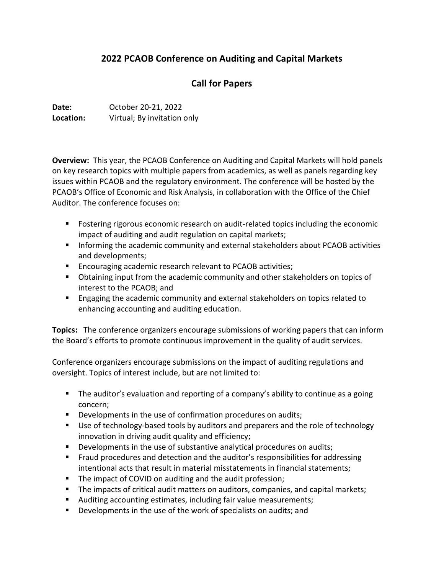# **2022 PCAOB Conference on Auditing and Capital Markets**

## **Call for Papers**

**Date:** October 20-21, 2022 **Location:** Virtual; By invitation only

**Overview:** This year, the PCAOB Conference on Auditing and Capital Markets will hold panels on key research topics with multiple papers from academics, as well as panels regarding key issues within PCAOB and the regulatory environment. The conference will be hosted by the PCAOB's Office of Economic and Risk Analysis, in collaboration with the Office of the Chief Auditor. The conference focuses on:

- Fostering rigorous economic research on audit-related topics including the economic impact of auditing and audit regulation on capital markets;
- **Informing the academic community and external stakeholders about PCAOB activities** and developments;
- **Encouraging academic research relevant to PCAOB activities;**
- Obtaining input from the academic community and other stakeholders on topics of interest to the PCAOB; and
- **Engaging the academic community and external stakeholders on topics related to** enhancing accounting and auditing education.

**Topics:** The conference organizers encourage submissions of working papers that can inform the Board's efforts to promote continuous improvement in the quality of audit services.

Conference organizers encourage submissions on the impact of auditing regulations and oversight. Topics of interest include, but are not limited to:

- **The auditor's evaluation and reporting of a company's ability to continue as a going** concern;
- **Developments in the use of confirmation procedures on audits;**
- Use of technology-based tools by auditors and preparers and the role of technology innovation in driving audit quality and efficiency;
- **Developments in the use of substantive analytical procedures on audits;**
- **Fraud procedures and detection and the auditor's responsibilities for addressing** intentional acts that result in material misstatements in financial statements;
- The impact of COVID on auditing and the audit profession;
- The impacts of critical audit matters on auditors, companies, and capital markets;
- Auditing accounting estimates, including fair value measurements;
- **Developments in the use of the work of specialists on audits; and**